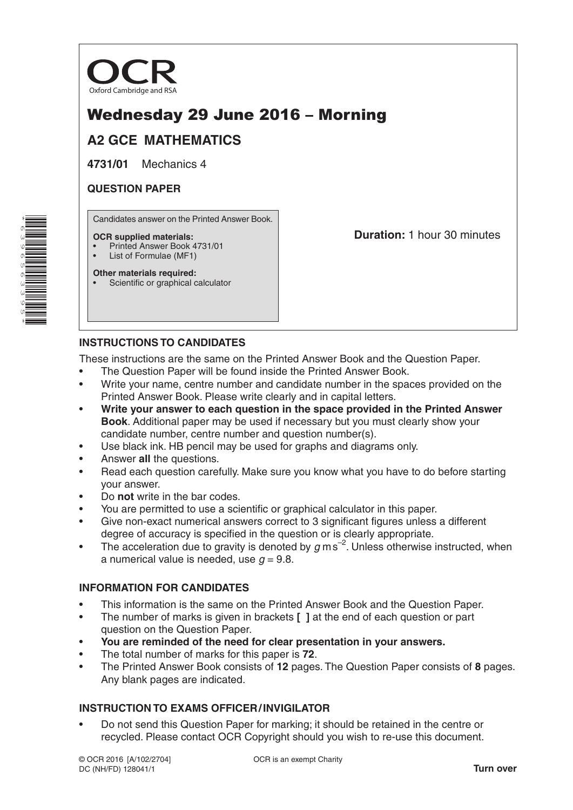

# Wednesday 29 June 2016 – Morning

## **A2 GCE MATHEMATICS**

**4731/01** Mechanics 4

## **QUESTION PAPER**

\*6W 6 656W ω 95\* Candidates answer on the Printed Answer Book.

#### **OCR supplied materials:**

- Printed Answer Book 4731/01
- List of Formulae (MF1)

**Other materials required:** • Scientific or graphical calculator **Duration:** 1 hour 30 minutes

## **INSTRUCTIONS TO CANDIDATES**

These instructions are the same on the Printed Answer Book and the Question Paper.

- The Question Paper will be found inside the Printed Answer Book.
- Write your name, centre number and candidate number in the spaces provided on the Printed Answer Book. Please write clearly and in capital letters.
- **Write your answer to each question in the space provided in the Printed Answer Book**. Additional paper may be used if necessary but you must clearly show your candidate number, centre number and question number(s).
- Use black ink. HB pencil may be used for graphs and diagrams only.
- Answer **all** the questions.
- Read each question carefully. Make sure you know what you have to do before starting your answer.
- Do **not** write in the bar codes.
- You are permitted to use a scientific or graphical calculator in this paper.
- Give non-exact numerical answers correct to 3 significant figures unless a different degree of accuracy is specified in the question or is clearly appropriate.
- The acceleration due to gravity is denoted by *g* ms–2. Unless otherwise instructed, when a numerical value is needed, use  $q = 9.8$ .

### **INFORMATION FOR CANDIDATES**

- This information is the same on the Printed Answer Book and the Question Paper.
- The number of marks is given in brackets **[ ]** at the end of each question or part question on the Question Paper.
- **You are reminded of the need for clear presentation in your answers.**
- The total number of marks for this paper is **72**.
- The Printed Answer Book consists of **12** pages. The Question Paper consists of **8** pages. Any blank pages are indicated.

### **INSTRUCTION TO EXAMS OFFICER/INVIGILATOR**

• Do not send this Question Paper for marking; it should be retained in the centre or recycled. Please contact OCR Copyright should you wish to re-use this document.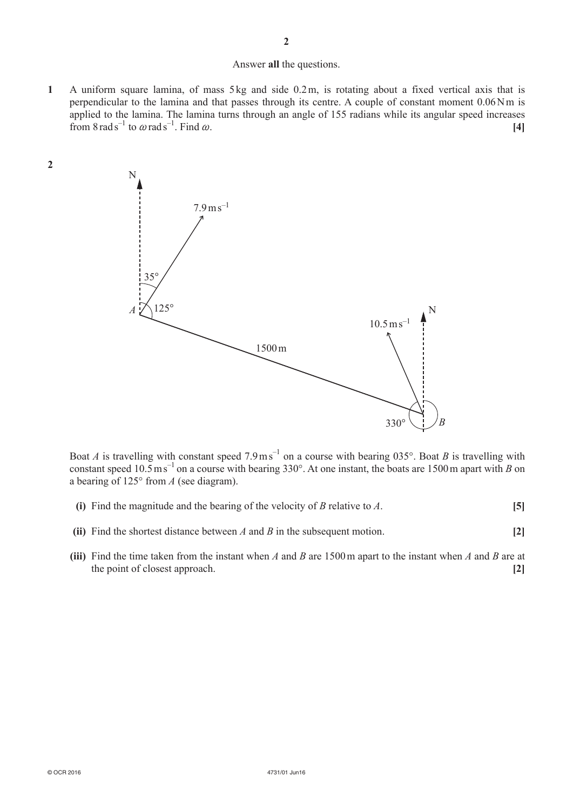#### Answer **all** the questions.

**1**  A uniform square lamina, of mass 5 kg and side 0.2m, is rotating about a fixed vertical axis that is perpendicular to the lamina and that passes through its centre. A couple of constant moment 0.06Nm is applied to the lamina. The lamina turns through an angle of 155 radians while its angular speed increases from  $8 \text{ rad s}^{-1}$  to  $\omega \text{ rad s}^{-1}$ . Find  $\omega$ . [4]





Boat *A* is travelling with constant speed  $7.9 \text{ m s}^{-1}$  on a course with bearing 035°. Boat *B* is travelling with constant speed 10.5ms<sup>-1</sup> on a course with bearing 330°. At one instant, the boats are 1500m apart with *B* on a bearing of 125° from *A* (see diagram).

- **(i)** Find the magnitude and the bearing of the velocity of *B* relative to *A*.  $[5]$
- **(ii)** Find the shortest distance between *A* and *B* in the subsequent motion.  $\begin{bmatrix} 2 \end{bmatrix}$
- **(iii)** Find the time taken from the instant when *A* and *B* are 1500m apart to the instant when *A* and *B* are at the point of closest approach. **[2]**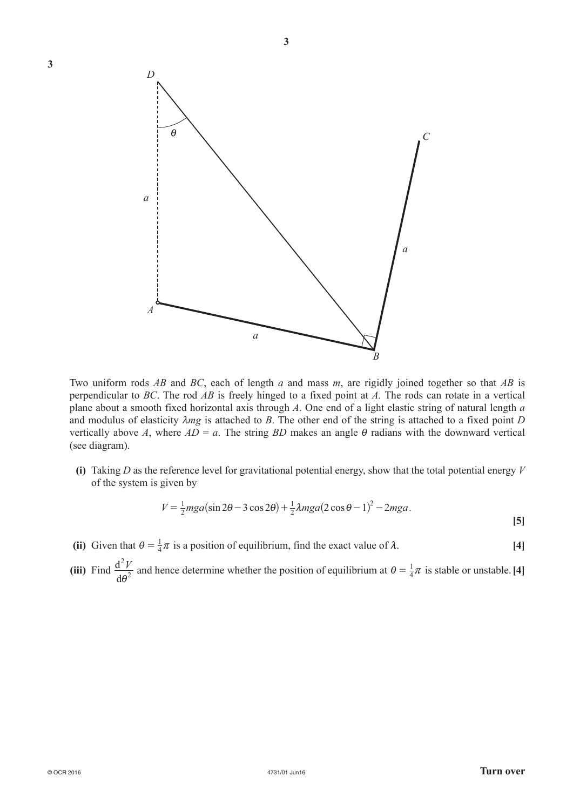



Two uniform rods *AB* and *BC*, each of length *a* and mass *m*, are rigidly joined together so that *AB* is perpendicular to *BC*. The rod *AB* is freely hinged to a fixed point at *A.* The rods can rotate in a vertical plane about a smooth fixed horizontal axis through *A*. One end of a light elastic string of natural length *a* and modulus of elasticity  $\lambda mg$  is attached to *B*. The other end of the string is attached to a fixed point *D* vertically above *A*, where  $AD = a$ . The string *BD* makes an angle  $\theta$  radians with the downward vertical (see diagram).

**(i)** Taking *D* as the reference level for gravitational potential energy, show that the total potential energy *V* of the system is given by

$$
V = \frac{1}{2}mga(\sin 2\theta - 3\cos 2\theta) + \frac{1}{2}\lambda mga(2\cos\theta - 1)^2 - 2mga.
$$
 [5]

(ii) Given that  $\theta = \frac{1}{4}\pi$  is a position of equilibrium, find the exact value of  $\lambda$ . [4]

**(iii)** Find  $\frac{d^2V}{d\theta^2}$ d 2 2  $\frac{2V}{\theta^2}$  and hence determine whether the position of equilibrium at  $\theta = \frac{1}{4}\pi$  is stable or unstable. [4]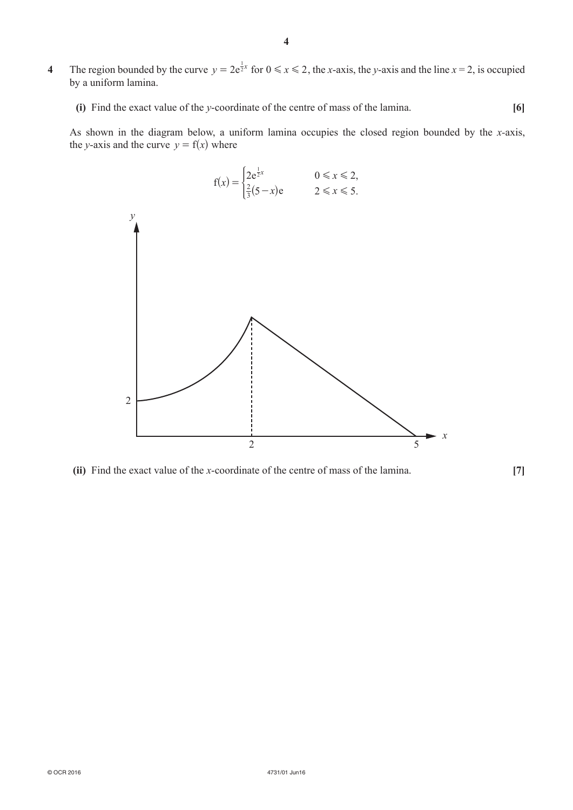- **4** The region bounded by the curve  $y = 2e^{\frac{1}{2}x}$  for  $0 \le x \le 2$ , the *x*-axis, the *y*-axis and the line  $x = 2$ , is occupied by a uniform lamina.
	- **(i)** Find the exact value of the *y*-coordinate of the centre of mass of the lamina. **[6]**

As shown in the diagram below, a uniform lamina occupies the closed region bounded by the *x-*axis, the *y*-axis and the curve  $y = f(x)$  where



**(ii)** Find the exact value of the *x*-coordinate of the centre of mass of the lamina. **[7]**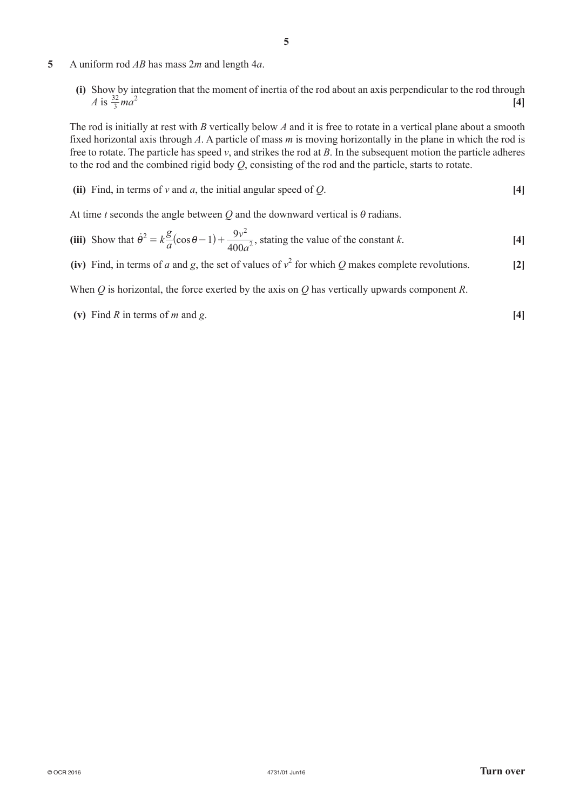- **5**  A uniform rod *AB* has mass 2*m* and length 4*a*.
	- **(i)** Show by integration that the moment of inertia of the rod about an axis perpendicular to the rod through *A* is  $\frac{32}{3}$  *ma*<sup>2</sup>  $\frac{32}{3}ma^2$  [4]

The rod is initially at rest with *B* vertically below *A* and it is free to rotate in a vertical plane about a smooth fixed horizontal axis through *A*. A particle of mass *m* is moving horizontally in the plane in which the rod is free to rotate. The particle has speed *v*, and strikes the rod at *B*. In the subsequent motion the particle adheres to the rod and the combined rigid body *Q*, consisting of the rod and the particle, starts to rotate.

**(ii)** Find, in terms of *v* and *a*, the initial angular speed of *Q*.  $[4]$ 

At time *t* seconds the angle between *Q* and the downward vertical is  $\theta$  radians.

(iii) Show that 
$$
\dot{\theta}^2 = k \frac{g}{a} (\cos \theta - 1) + \frac{9v^2}{400a^2}
$$
, stating the value of the constant k. [4]

**(iv)** Find, in terms of *a* and *g*, the set of values of  $v^2$  for which *Q* makes complete revolutions. [2]

When *Q* is horizontal, the force exerted by the axis on *Q* has vertically upwards component *R*.

(v) Find *R* in terms of *m* and *g*.  $[4]$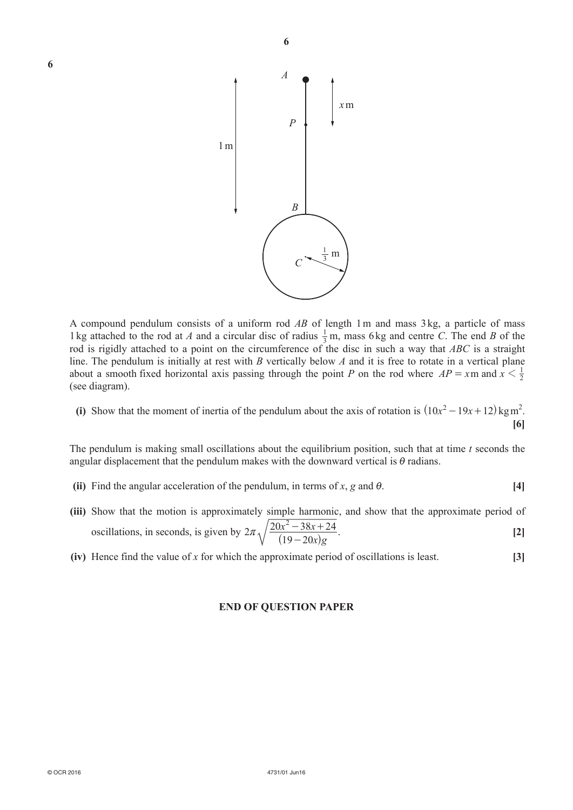*A*

*P*

1m

*x*m



*B*

*C*

1  $m$ 

(i) Show that the moment of inertia of the pendulum about the axis of rotation is  $(10x^2 - 19x + 12)$  kgm<sup>2</sup>.

**[6]**

The pendulum is making small oscillations about the equilibrium position, such that at time *t* seconds the angular displacement that the pendulum makes with the downward vertical is  $\theta$  radians.

- **(ii)** Find the angular acceleration of the pendulum, in terms of *x*, *g* and  $\theta$ . [4]
- (iii) Show that the motion is approximately simple harmonic, and show that the approximate period of oscillations, in seconds, is given by  $2\pi \sqrt{\frac{20x-389}{(19-20)}}$  $20x^2 - 38x + 24$ *x*  $x^2 - 38x$ *g* 2  $\pi \sqrt{\frac{20x^2 - 38x + 24}{(19 - 20x)g}}$  . [2]
	- **(iv)**  Hence find the value of *x* for which the approximate period of oscillations is least. **[3]**

#### **END OF QUESTION PAPER**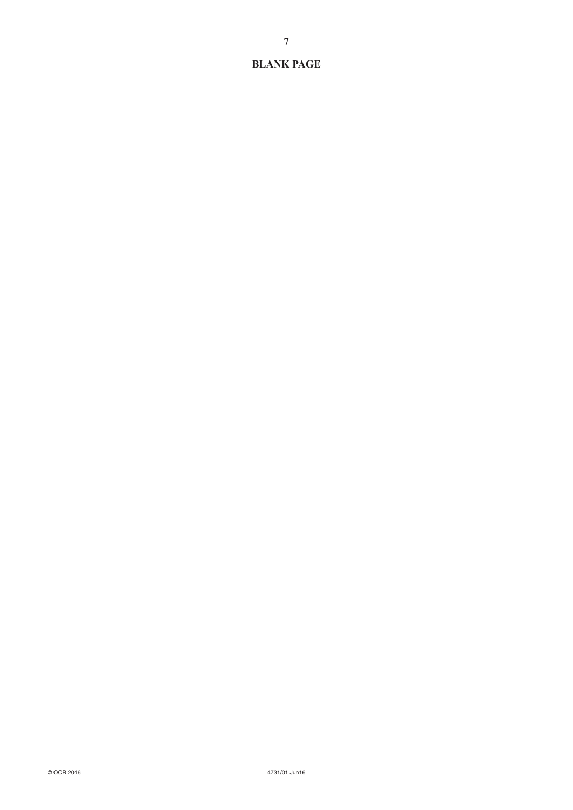#### **BLANK PAGE**